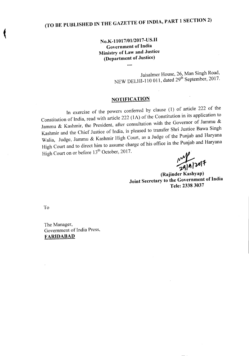No.K-11017/01/2017-US.II Government of India Ministry of Law and Justice (Department of Justice)

....

Jaisalmer House, 26, Man Singh Road, NEW DELHI-110 011, dated  $29<sup>th</sup>$  September, 2017.

## **NOTIFICATION**

In exercise of the powers conferred by clause (1) of article 222 of the Constitution of India, read with article 222 (1A) of the Constitution in its application to Jammu & Kashmir, the President, after consultation with the Governor of Jammu & Kashmir and the Chief Justice of India, is pleased to transfer Shri Justice Bawa Singh Walia, Judge, Jammu & Kashmir High Court, as a Judge of the Punjab and Haryana High Court and to direct him to assume charge of his office in the Punjab and Haryana High Court on or before 13<sup>th</sup> October, 2017.

 $\frac{1}{29|9|2017}$ 

(Rajinder Kashyap) Joint Secretary to the Government of India Tete: 23383037

To

The Manager, Government of India Press, FARlDABAD